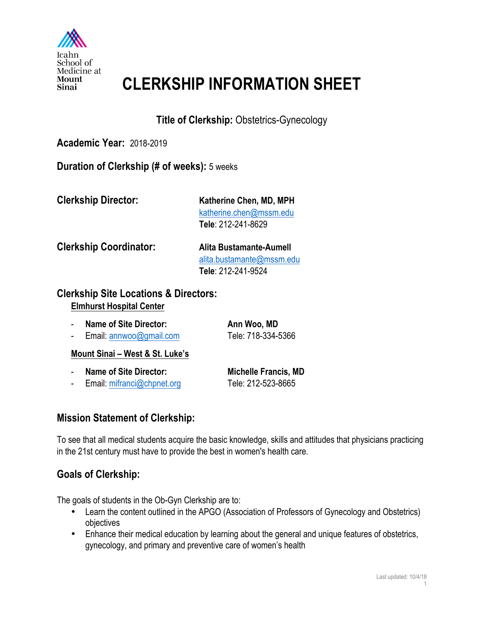

## **CLERKSHIP INFORMATION SHEET**

**Title of Clerkship:** Obstetrics-Gynecology

## **Academic Year:** 2018-2019

**Duration of Clerkship (# of weeks):** 5 weeks

**Clerkship Director: Katherine Chen, MD, MPH** katherine.chen@mssm.edu **Tele**: 212-241-8629

**Clerkship Coordinator:** Alita Bustamante-Aumell

alita.bustamante@mssm.edu **Tele**: 212-241-9524

#### **Clerkship Site Locations & Directors: Elmhurst Hospital Center**

| <b>Name of Site Director:</b> | Ann Woo, MD        |
|-------------------------------|--------------------|
| Email: annwoo@gmail.com       | Tele: 718-334-5366 |

#### **Mount Sinai – West & St. Luke's**

- Name of Site Director: Michelle Francis, MD
- Email: mifranci@chpnet.org Tele: 212-523-8665

## **Mission Statement of Clerkship:**

To see that all medical students acquire the basic knowledge, skills and attitudes that physicians practicing in the 21st century must have to provide the best in women's health care.

## **Goals of Clerkship:**

The goals of students in the Ob-Gyn Clerkship are to:

- Learn the content outlined in the APGO (Association of Professors of Gynecology and Obstetrics) objectives
- Enhance their medical education by learning about the general and unique features of obstetrics, gynecology, and primary and preventive care of women's health